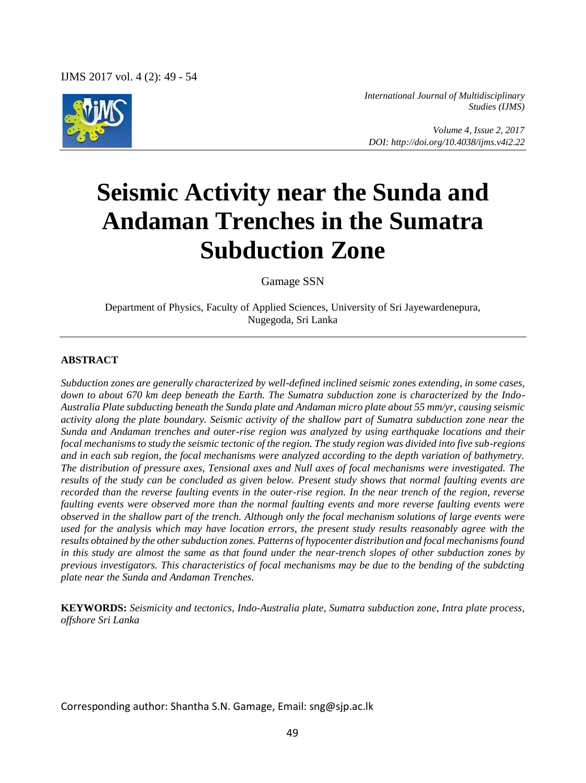

*International Journal of Multidisciplinary Studies (IJMS)* 

 *Volume 4, Issue 2, 2017 DOI: http://doi.org/10.4038/ijms.v4i2.22*

# **Seismic Activity near the Sunda and Andaman Trenches in the Sumatra Subduction Zone**

Gamage SSN

Department of Physics, Faculty of Applied Sciences, University of Sri Jayewardenepura, Nugegoda, Sri Lanka

#### **ABSTRACT**

*Subduction zones are generally characterized by well-defined inclined seismic zones extending, in some cases, down to about 670 km deep beneath the Earth. The Sumatra subduction zone is characterized by the Indo-Australia Plate subducting beneath the Sunda plate and Andaman micro plate about 55 mm/yr, causing seismic activity along the plate boundary. Seismic activity of the shallow part of Sumatra subduction zone near the Sunda and Andaman trenches and outer-rise region was analyzed by using earthquake locations and their focal mechanisms to study the seismic tectonic of the region. The study region was divided into five sub-regions and in each sub region, the focal mechanisms were analyzed according to the depth variation of bathymetry. The distribution of pressure axes, Tensional axes and Null axes of focal mechanisms were investigated. The results of the study can be concluded as given below. Present study shows that normal faulting events are recorded than the reverse faulting events in the outer-rise region. In the near trench of the region, reverse faulting events were observed more than the normal faulting events and more reverse faulting events were observed in the shallow part of the trench. Although only the focal mechanism solutions of large events were used for the analysis which may have location errors, the present study results reasonably agree with the results obtained by the other subduction zones. Patterns of hypocenter distribution and focal mechanisms found in this study are almost the same as that found under the near-trench slopes of other subduction zones by previous investigators. This characteristics of focal mechanisms may be due to the bending of the subdcting plate near the Sunda and Andaman Trenches.* 

**KEYWORDS:** *Seismicity and tectonics, Indo-Australia plate, Sumatra subduction zone, Intra plate process, offshore Sri Lanka* 

Corresponding author: Shantha S.N. Gamage, Email: sng@sjp.ac.lk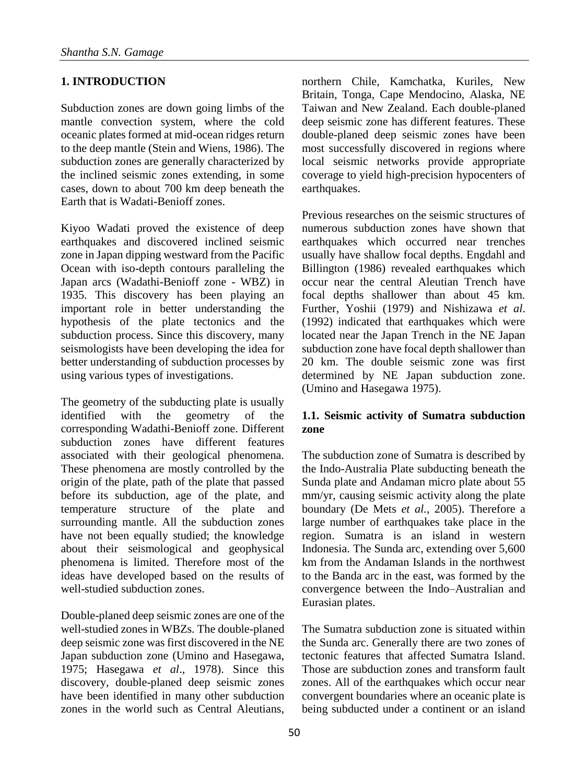# **1. INTRODUCTION**

Subduction zones are down going limbs of the mantle convection system, where the cold oceanic plates formed at mid-ocean ridges return to the deep mantle (Stein and Wiens, 1986). The subduction zones are generally characterized by the inclined seismic zones extending, in some cases, down to about 700 km deep beneath the Earth that is Wadati-Benioff zones.

Kiyoo Wadati proved the existence of deep earthquakes and discovered inclined seismic zone in Japan dipping westward from the Pacific Ocean with iso-depth contours paralleling the Japan arcs (Wadathi-Benioff zone - WBZ) in 1935. This discovery has been playing an important role in better understanding the hypothesis of the plate tectonics and the subduction process. Since this discovery, many seismologists have been developing the idea for better understanding of subduction processes by using various types of investigations.

The geometry of the subducting plate is usually identified with the geometry of the corresponding Wadathi-Benioff zone. Different subduction zones have different features associated with their geological phenomena. These phenomena are mostly controlled by the origin of the plate, path of the plate that passed before its subduction, age of the plate, and temperature structure of the plate and surrounding mantle. All the subduction zones have not been equally studied; the knowledge about their seismological and geophysical phenomena is limited. Therefore most of the ideas have developed based on the results of well-studied subduction zones.

Double-planed deep seismic zones are one of the well-studied zones in WBZs. The double-planed deep seismic zone was first discovered in the NE Japan subduction zone (Umino and Hasegawa, 1975; Hasegawa *et al*., 1978). Since this discovery, double-planed deep seismic zones have been identified in many other subduction zones in the world such as Central Aleutians,

northern Chile, Kamchatka, Kuriles, New Britain, Tonga, Cape Mendocino, Alaska, NE Taiwan and New Zealand. Each double-planed deep seismic zone has different features. These double-planed deep seismic zones have been most successfully discovered in regions where local seismic networks provide appropriate coverage to yield high-precision hypocenters of earthquakes.

Previous researches on the seismic structures of numerous subduction zones have shown that earthquakes which occurred near trenches usually have shallow focal depths. Engdahl and Billington (1986) revealed earthquakes which occur near the central Aleutian Trench have focal depths shallower than about 45 km. Further, Yoshii (1979) and Nishizawa *et al*. (1992) indicated that earthquakes which were located near the Japan Trench in the NE Japan subduction zone have focal depth shallower than 20 km. The double seismic zone was first determined by NE Japan subduction zone. (Umino and Hasegawa 1975).

## **1.1. Seismic activity of Sumatra subduction zone**

The subduction zone of Sumatra is described by the Indo-Australia Plate subducting beneath the Sunda plate and Andaman micro plate about 55 mm/yr, causing seismic activity along the plate boundary (De Mets *et al.*, 2005). Therefore a large number of earthquakes take place in the region. Sumatra is an island in western Indonesia. The Sunda arc, extending over 5,600 km from the Andaman Islands in the northwest to the Banda arc in the east, was formed by the convergence between the Indo–Australian and Eurasian plates.

The Sumatra subduction zone is situated within the Sunda arc. Generally there are two zones of tectonic features that affected Sumatra Island. Those are subduction zones and transform fault zones. All of the earthquakes which occur near convergent boundaries where an oceanic plate is being subducted under a continent or an island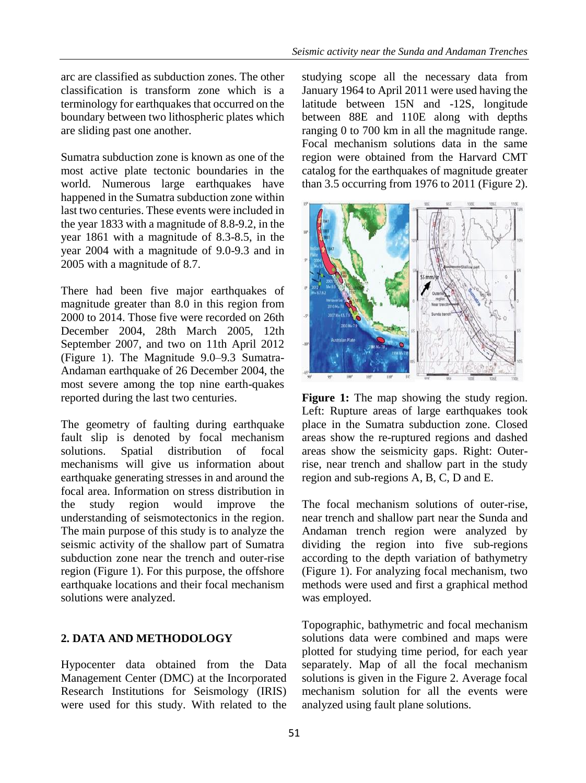arc are classified as subduction zones. The other classification is transform zone which is a terminology for earthquakes that occurred on the boundary between two lithospheric plates which are sliding past one another.

Sumatra subduction zone is known as one of the most active plate tectonic boundaries in the world. Numerous large earthquakes have happened in the Sumatra subduction zone within last two centuries. These events were included in the year 1833 with a magnitude of 8.8-9.2, in the year 1861 with a magnitude of 8.3-8.5, in the year 2004 with a magnitude of 9.0-9.3 and in 2005 with a magnitude of 8.7.

There had been five major earthquakes of magnitude greater than 8.0 in this region from 2000 to 2014. Those five were recorded on 26th December 2004, 28th March 2005, 12th September 2007, and two on 11th April 2012 (Figure 1). The Magnitude 9.0–9.3 Sumatra-Andaman earthquake of 26 December 2004, the most severe among the top nine earth-quakes reported during the last two centuries.

The geometry of faulting during earthquake fault slip is denoted by focal mechanism solutions. Spatial distribution of focal mechanisms will give us information about earthquake generating stresses in and around the focal area. Information on stress distribution in the study region would improve the understanding of seismotectonics in the region. The main purpose of this study is to analyze the seismic activity of the shallow part of Sumatra subduction zone near the trench and outer-rise region (Figure 1). For this purpose, the offshore earthquake locations and their focal mechanism solutions were analyzed.

# **2. DATA AND METHODOLOGY**

Hypocenter data obtained from the Data Management Center (DMC) at the Incorporated Research Institutions for Seismology (IRIS) were used for this study. With related to the

studying scope all the necessary data from January 1964 to April 2011 were used having the latitude between 15N and -12S, longitude between 88E and 110E along with depths ranging 0 to 700 km in all the magnitude range. Focal mechanism solutions data in the same region were obtained from the Harvard CMT catalog for the earthquakes of magnitude greater than 3.5 occurring from 1976 to 2011 (Figure 2).



**Figure 1:** The map showing the study region. Left: Rupture areas of large earthquakes took place in the Sumatra subduction zone. Closed areas show the re-ruptured regions and dashed areas show the seismicity gaps. Right: Outerrise, near trench and shallow part in the study region and sub-regions A, B, C, D and E.

The focal mechanism solutions of outer-rise, near trench and shallow part near the Sunda and Andaman trench region were analyzed by dividing the region into five sub-regions according to the depth variation of bathymetry (Figure 1). For analyzing focal mechanism, two methods were used and first a graphical method was employed.

Topographic, bathymetric and focal mechanism solutions data were combined and maps were plotted for studying time period, for each year separately. Map of all the focal mechanism solutions is given in the Figure 2. Average focal mechanism solution for all the events were analyzed using fault plane solutions.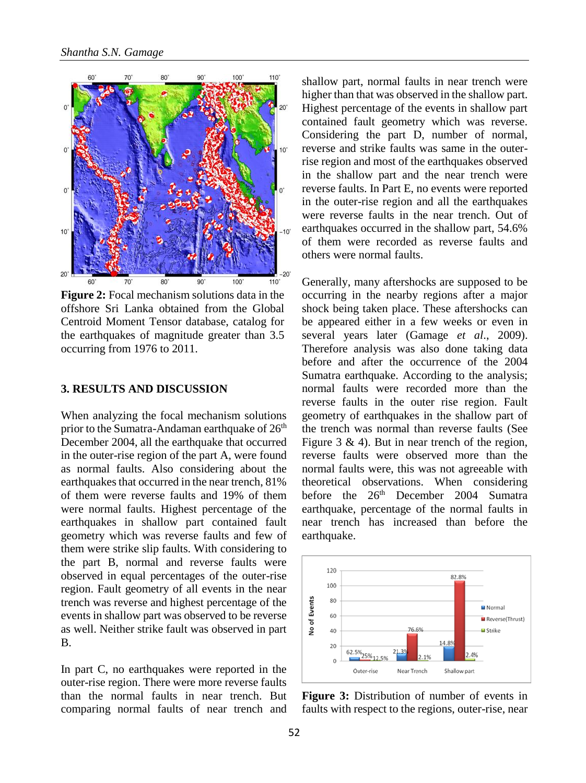

**Figure 2:** Focal mechanism solutions data in the offshore Sri Lanka obtained from the Global Centroid Moment Tensor database, catalog for the earthquakes of magnitude greater than 3.5 occurring from 1976 to 2011.

#### **3. RESULTS AND DISCUSSION**

When analyzing the focal mechanism solutions prior to the Sumatra-Andaman earthquake of  $26<sup>th</sup>$ December 2004, all the earthquake that occurred in the outer-rise region of the part A, were found as normal faults. Also considering about the earthquakes that occurred in the near trench, 81% of them were reverse faults and 19% of them were normal faults. Highest percentage of the earthquakes in shallow part contained fault geometry which was reverse faults and few of them were strike slip faults. With considering to the part B, normal and reverse faults were observed in equal percentages of the outer-rise region. Fault geometry of all events in the near trench was reverse and highest percentage of the events in shallow part was observed to be reverse as well. Neither strike fault was observed in part B.

In part C, no earthquakes were reported in the outer-rise region. There were more reverse faults than the normal faults in near trench. But comparing normal faults of near trench and

shallow part, normal faults in near trench were higher than that was observed in the shallow part. Highest percentage of the events in shallow part contained fault geometry which was reverse. Considering the part D, number of normal, reverse and strike faults was same in the outerrise region and most of the earthquakes observed in the shallow part and the near trench were reverse faults. In Part E, no events were reported in the outer-rise region and all the earthquakes were reverse faults in the near trench. Out of earthquakes occurred in the shallow part, 54.6% of them were recorded as reverse faults and others were normal faults.

Generally, many aftershocks are supposed to be occurring in the nearby regions after a major shock being taken place. These aftershocks can be appeared either in a few weeks or even in several years later (Gamage *et al*., 2009). Therefore analysis was also done taking data before and after the occurrence of the 2004 Sumatra earthquake. According to the analysis; normal faults were recorded more than the reverse faults in the outer rise region. Fault geometry of earthquakes in the shallow part of the trench was normal than reverse faults (See Figure 3  $\&$  4). But in near trench of the region, reverse faults were observed more than the normal faults were, this was not agreeable with theoretical observations. When considering before the 26<sup>th</sup> December 2004 Sumatra earthquake, percentage of the normal faults in near trench has increased than before the earthquake.



**Figure 3:** Distribution of number of events in faults with respect to the regions, outer-rise, near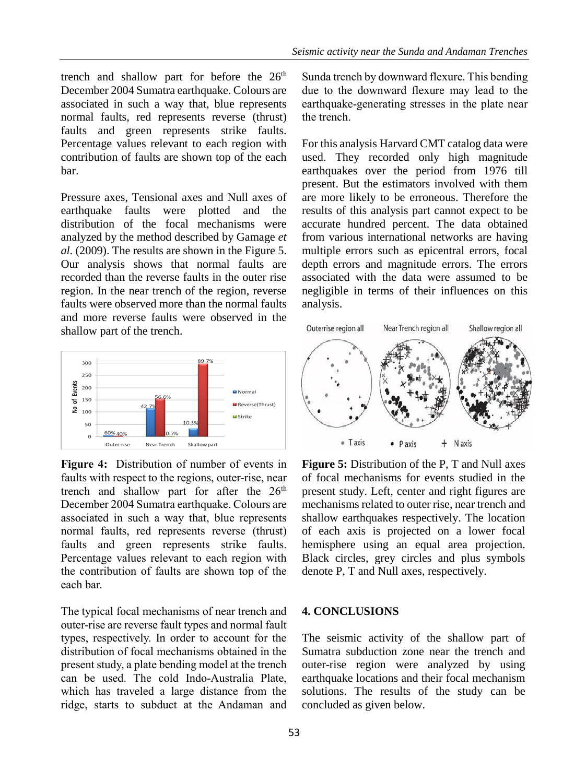trench and shallow part for before the  $26<sup>th</sup>$ December 2004 Sumatra earthquake. Colours are associated in such a way that, blue represents normal faults, red represents reverse (thrust) faults and green represents strike faults. Percentage values relevant to each region with contribution of faults are shown top of the each bar.

Pressure axes, Tensional axes and Null axes of earthquake faults were plotted and the distribution of the focal mechanisms were analyzed by the method described by Gamage *et al.* (2009). The results are shown in the Figure 5. Our analysis shows that normal faults are recorded than the reverse faults in the outer rise region. In the near trench of the region, reverse faults were observed more than the normal faults and more reverse faults were observed in the shallow part of the trench.



**Figure 4:** Distribution of number of events in faults with respect to the regions, outer-rise, near trench and shallow part for after the  $26<sup>th</sup>$ December 2004 Sumatra earthquake. Colours are associated in such a way that, blue represents normal faults, red represents reverse (thrust) faults and green represents strike faults. Percentage values relevant to each region with the contribution of faults are shown top of the each bar.

The typical focal mechanisms of near trench and outer-rise are reverse fault types and normal fault types, respectively. In order to account for the distribution of focal mechanisms obtained in the present study, a plate bending model at the trench can be used. The cold Indo-Australia Plate, which has traveled a large distance from the ridge, starts to subduct at the Andaman and

Sunda trench by downward flexure. This bending due to the downward flexure may lead to the earthquake-generating stresses in the plate near the trench.

For this analysis Harvard CMT catalog data were used. They recorded only high magnitude earthquakes over the period from 1976 till present. But the estimators involved with them are more likely to be erroneous. Therefore the results of this analysis part cannot expect to be accurate hundred percent. The data obtained from various international networks are having multiple errors such as epicentral errors, focal depth errors and magnitude errors. The errors associated with the data were assumed to be negligible in terms of their influences on this analysis.



**Figure 5:** Distribution of the P, T and Null axes of focal mechanisms for events studied in the present study. Left, center and right figures are mechanisms related to outer rise, near trench and shallow earthquakes respectively. The location of each axis is projected on a lower focal hemisphere using an equal area projection. Black circles, grey circles and plus symbols denote P, T and Null axes, respectively.

### **4. CONCLUSIONS**

The seismic activity of the shallow part of Sumatra subduction zone near the trench and outer-rise region were analyzed by using earthquake locations and their focal mechanism solutions. The results of the study can be concluded as given below.